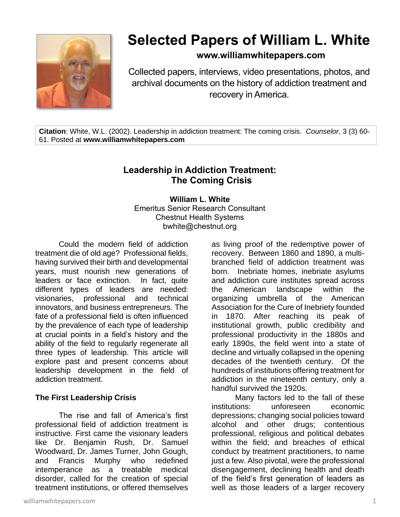

# **Selected Papers of William L. White**

# **www.williamwhitepapers.com**

Collected papers, interviews, video presentations, photos, and archival documents on the history of addiction treatment and recovery in America.

**Citation**: White, W.L. (2002). Leadership in addiction treatment: The coming crisis. *Counselor*, 3 (3) 60- 61. Posted at **www.williamwhitepapers.com**

# **Leadership in Addiction Treatment: The Coming Crisis**

**William L. White** Emeritus Senior Research Consultant Chestnut Health Systems bwhite@chestnut.org

Could the modern field of addiction treatment die of old age? Professional fields, having survived their birth and developmental years, must nourish new generations of leaders or face extinction. In fact, quite different types of leaders are needed: visionaries, professional and technical innovators, and business entrepreneurs. The fate of a professional field is often influenced by the prevalence of each type of leadership at crucial points in a field's history and the ability of the field to regularly regenerate all three types of leadership. This article will explore past and present concerns about leadership development in the field of addiction treatment.

## **The First Leadership Crisis**

The rise and fall of America's first professional field of addiction treatment is instructive. First came the visionary leaders like Dr. Benjamin Rush, Dr. Samuel Woodward, Dr. James Turner, John Gough, and Francis Murphy who redefined intemperance as a treatable medical disorder, called for the creation of special treatment institutions, or offered themselves

as living proof of the redemptive power of recovery. Between 1860 and 1890, a multibranched field of addiction treatment was born. Inebriate homes, inebriate asylums and addiction cure institutes spread across the American landscape within the organizing umbrella of the American Association for the Cure of Inebriety founded in 1870. After reaching its peak of institutional growth, public credibility and professional productivity in the 1880s and early 1890s, the field went into a state of decline and virtually collapsed in the opening decades of the twentieth century. Of the hundreds of institutions offering treatment for addiction in the nineteenth century, only a handful survived the 1920s.

Many factors led to the fall of these institutions: unforeseen economic depressions; changing social policies toward alcohol and other drugs; contentious professional, religious and political debates within the field; and breaches of ethical conduct by treatment practitioners, to name just a few. Also pivotal, were the professional disengagement, declining health and death of the field's first generation of leaders as well as those leaders of a larger recovery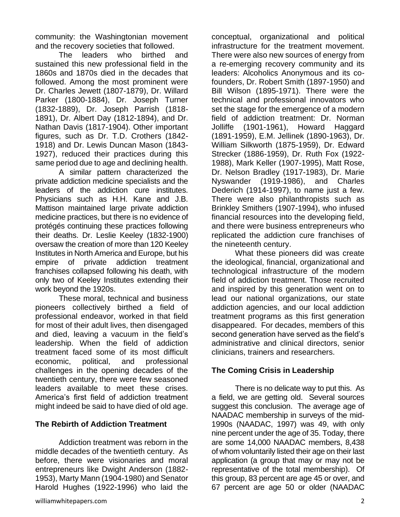community: the Washingtonian movement and the recovery societies that followed.

The leaders who birthed and sustained this new professional field in the 1860s and 1870s died in the decades that followed. Among the most prominent were Dr. Charles Jewett (1807-1879), Dr. Willard Parker (1800-1884), Dr. Joseph Turner (1832-1889), Dr. Joseph Parrish (1818- 1891), Dr. Albert Day (1812-1894), and Dr. Nathan Davis (1817-1904). Other important figures, such as Dr. T.D. Crothers (1842- 1918) and Dr. Lewis Duncan Mason (1843- 1927), reduced their practices during this same period due to age and declining health.

A similar pattern characterized the private addiction medicine specialists and the leaders of the addiction cure institutes. Physicians such as H.H. Kane and J.B. Mattison maintained large private addiction medicine practices, but there is no evidence of protégés continuing these practices following their deaths. Dr. Leslie Keeley (1832-1900) oversaw the creation of more than 120 Keeley Institutes in North America and Europe, but his empire of private addiction treatment franchises collapsed following his death, with only two of Keeley Institutes extending their work beyond the 1920s.

These moral, technical and business pioneers collectively birthed a field of professional endeavor, worked in that field for most of their adult lives, then disengaged and died, leaving a vacuum in the field's leadership. When the field of addiction treatment faced some of its most difficult economic, political, and professional challenges in the opening decades of the twentieth century, there were few seasoned leaders available to meet these crises. America's first field of addiction treatment might indeed be said to have died of old age.

#### **The Rebirth of Addiction Treatment**

Addiction treatment was reborn in the middle decades of the twentieth century. As before, there were visionaries and moral entrepreneurs like Dwight Anderson (1882- 1953), Marty Mann (1904-1980) and Senator Harold Hughes (1922-1996) who laid the

conceptual, organizational and political infrastructure for the treatment movement. There were also new sources of energy from a re-emerging recovery community and its leaders: Alcoholics Anonymous and its cofounders, Dr. Robert Smith (1897-1950) and Bill Wilson (1895-1971). There were the technical and professional innovators who set the stage for the emergence of a modern field of addiction treatment: Dr. Norman Jolliffe (1901-1961), Howard Haggard (1891-1959), E.M. Jellinek (1890-1963), Dr. William Silkworth (1875-1959), Dr. Edward Strecker (1886-1959), Dr. Ruth Fox (1922- 1988), Mark Keller (1907-1995), Matt Rose, Dr. Nelson Bradley (1917-1983), Dr. Marie Nyswander (1919-1986), and Charles Dederich (1914-1997), to name just a few. There were also philanthropists such as Brinkley Smithers (1907-1994), who infused financial resources into the developing field, and there were business entrepreneurs who replicated the addiction cure franchises of the nineteenth century.

What these pioneers did was create the ideological, financial, organizational and technological infrastructure of the modern field of addiction treatment. Those recruited and inspired by this generation went on to lead our national organizations, our state addiction agencies, and our local addiction treatment programs as this first generation disappeared. For decades, members of this second generation have served as the field's administrative and clinical directors, senior clinicians, trainers and researchers.

## **The Coming Crisis in Leadership**

There is no delicate way to put this. As a field, we are getting old. Several sources suggest this conclusion. The average age of NAADAC membership in surveys of the mid-1990s (NAADAC, 1997) was 49, with only nine percent under the age of 35. Today, there are some 14,000 NAADAC members, 8,438 of whom voluntarily listed their age on their last application (a group that may or may not be representative of the total membership). Of this group, 83 percent are age 45 or over, and 67 percent are age 50 or older (NAADAC